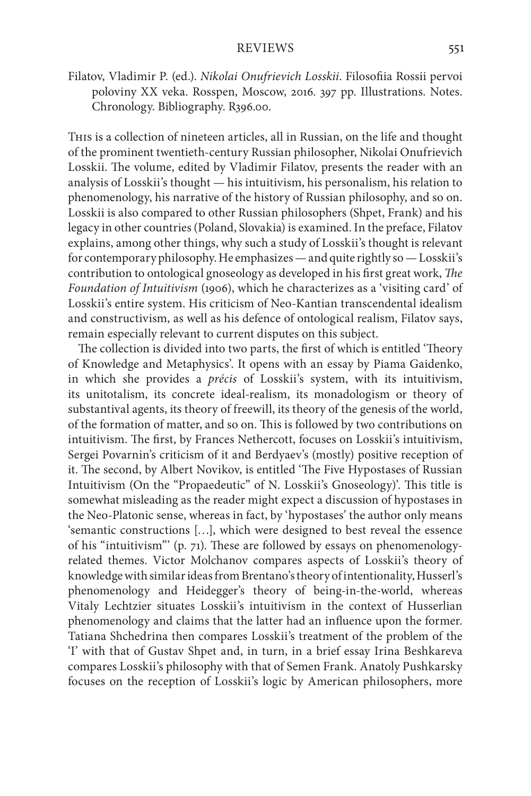Filatov, Vladimir P. (ed.). *Nikolai Onufrievich Losskii*. Filosofiia Rossii pervoi poloviny XX veka. Rosspen, Moscow, 2016. 397 pp. Illustrations. Notes. Chronology. Bibliography. R396.00.

This is a collection of nineteen articles, all in Russian, on the life and thought of the prominent twentieth-century Russian philosopher, Nikolai Onufrievich Losskii. The volume, edited by Vladimir Filatov, presents the reader with an analysis of Losskii's thought — his intuitivism, his personalism, his relation to phenomenology, his narrative of the history of Russian philosophy, and so on. Losskii is also compared to other Russian philosophers (Shpet, Frank) and his legacy in other countries (Poland, Slovakia) is examined. In the preface, Filatov explains, among other things, why such a study of Losskii's thought is relevant for contemporary philosophy. He emphasizes — and quite rightly so — Losskii's contribution to ontological gnoseology as developed in his first great work, *The Foundation of Intuitivism* (1906), which he characterizes as a 'visiting card' of Losskii's entire system. His criticism of Neo-Kantian transcendental idealism and constructivism, as well as his defence of ontological realism, Filatov says, remain especially relevant to current disputes on this subject.

The collection is divided into two parts, the first of which is entitled 'Theory of Knowledge and Metaphysics'. It opens with an essay by Piama Gaidenko, in which she provides a *précis* of Losskii's system, with its intuitivism, its unitotalism, its concrete ideal-realism, its monadologism or theory of substantival agents, its theory of freewill, its theory of the genesis of the world, of the formation of matter, and so on. This is followed by two contributions on intuitivism. The first, by Frances Nethercott, focuses on Losskii's intuitivism, Sergei Povarnin's criticism of it and Berdyaev's (mostly) positive reception of it. The second, by Albert Novikov, is entitled 'The Five Hypostases of Russian Intuitivism (On the "Propaedeutic" of N. Losskii's Gnoseology)'. This title is somewhat misleading as the reader might expect a discussion of hypostases in the Neo-Platonic sense, whereas in fact, by 'hypostases' the author only means 'semantic constructions […], which were designed to best reveal the essence of his "intuitivism"' (p. 71). These are followed by essays on phenomenologyrelated themes. Victor Molchanov compares aspects of Losskii's theory of knowledge with similar ideas from Brentano's theory of intentionality, Husserl's phenomenology and Heidegger's theory of being-in-the-world, whereas Vitaly Lechtzier situates Losskii's intuitivism in the context of Husserlian phenomenology and claims that the latter had an influence upon the former. Tatiana Shchedrina then compares Losskii's treatment of the problem of the 'I' with that of Gustav Shpet and, in turn, in a brief essay Irina Beshkareva compares Losskii's philosophy with that of Semen Frank. Anatoly Pushkarsky focuses on the reception of Losskii's logic by American philosophers, more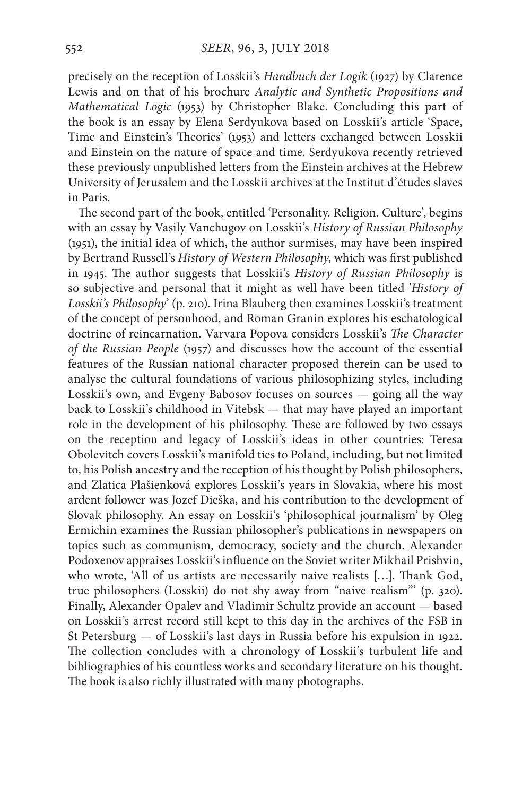precisely on the reception of Losskii's *Handbuch der Logik* (1927) by Clarence Lewis and on that of his brochure *Analytic and Synthetic Propositions and Mathematical Logic* (1953) by Christopher Blake. Concluding this part of the book is an essay by Elena Serdyukova based on Losskii's article 'Space, Time and Einstein's Theories' (1953) and letters exchanged between Losskii and Einstein on the nature of space and time. Serdyukova recently retrieved these previously unpublished letters from the Einstein archives at the Hebrew University of Jerusalem and the Losskii archives at the Institut d'études slaves in Paris.

The second part of the book, entitled 'Personality. Religion. Culture', begins with an essay by Vasily Vanchugov on Losskii's *History of Russian Philosophy*  (1951), the initial idea of which, the author surmises, may have been inspired by Bertrand Russell's *History of Western Philosophy*, which was first published in 1945. The author suggests that Losskii's *History of Russian Philosophy* is so subjective and personal that it might as well have been titled '*History of Losskii's Philosophy*' (p. 210). Irina Blauberg then examines Losskii's treatment of the concept of personhood, and Roman Granin explores his eschatological doctrine of reincarnation. Varvara Popova considers Losskii's *The Character of the Russian People* (1957) and discusses how the account of the essential features of the Russian national character proposed therein can be used to analyse the cultural foundations of various philosophizing styles, including Losskii's own, and Evgeny Babosov focuses on sources — going all the way back to Losskii's childhood in Vitebsk — that may have played an important role in the development of his philosophy. These are followed by two essays on the reception and legacy of Losskii's ideas in other countries: Teresa Obolevitch covers Losskii's manifold ties to Poland, including, but not limited to, his Polish ancestry and the reception of his thought by Polish philosophers, and Zlatica Plašienková explores Losskii's years in Slovakia, where his most ardent follower was Jozef Dieška, and his contribution to the development of Slovak philosophy. An essay on Losskii's 'philosophical journalism' by Oleg Ermichin examines the Russian philosopher's publications in newspapers on topics such as communism, democracy, society and the church. Alexander Podoxenov appraises Losskii's influence on the Soviet writer Mikhail Prishvin, who wrote, 'All of us artists are necessarily naive realists […]. Thank God, true philosophers (Losskii) do not shy away from "naive realism"' (p. 320). Finally, Alexander Opalev and Vladimir Schultz provide an account — based on Losskii's arrest record still kept to this day in the archives of the FSB in St Petersburg — of Losskii's last days in Russia before his expulsion in 1922. The collection concludes with a chronology of Losskii's turbulent life and bibliographies of his countless works and secondary literature on his thought. The book is also richly illustrated with many photographs.